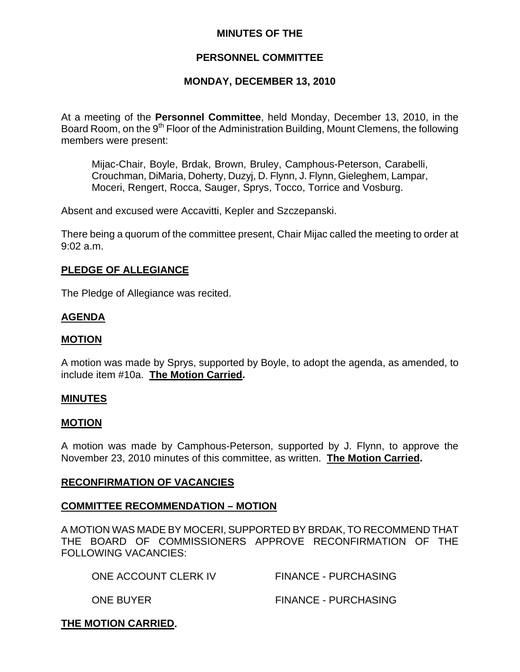### **MINUTES OF THE**

## **PERSONNEL COMMITTEE**

## **MONDAY, DECEMBER 13, 2010**

At a meeting of the **Personnel Committee**, held Monday, December 13, 2010, in the Board Room, on the 9<sup>th</sup> Floor of the Administration Building, Mount Clemens, the following members were present:

Mijac-Chair, Boyle, Brdak, Brown, Bruley, Camphous-Peterson, Carabelli, Crouchman, DiMaria, Doherty, Duzyj, D. Flynn, J. Flynn, Gieleghem, Lampar, Moceri, Rengert, Rocca, Sauger, Sprys, Tocco, Torrice and Vosburg.

Absent and excused were Accavitti, Kepler and Szczepanski.

There being a quorum of the committee present, Chair Mijac called the meeting to order at 9:02 a.m.

### **PLEDGE OF ALLEGIANCE**

The Pledge of Allegiance was recited.

### **AGENDA**

### **MOTION**

A motion was made by Sprys, supported by Boyle, to adopt the agenda, as amended, to include item #10a. **The Motion Carried.** 

#### **MINUTES**

#### **MOTION**

A motion was made by Camphous-Peterson, supported by J. Flynn, to approve the November 23, 2010 minutes of this committee, as written. **The Motion Carried.** 

#### **RECONFIRMATION OF VACANCIES**

#### **COMMITTEE RECOMMENDATION – MOTION**

A MOTION WAS MADE BY MOCERI, SUPPORTED BY BRDAK, TO RECOMMEND THAT THE BOARD OF COMMISSIONERS APPROVE RECONFIRMATION OF THE FOLLOWING VACANCIES:

| ONE ACCOUNT CLERK IV | <b>FINANCE - PURCHASING</b> |
|----------------------|-----------------------------|
| <b>ONE BUYER</b>     | <b>FINANCE - PURCHASING</b> |

# **THE MOTION CARRIED.**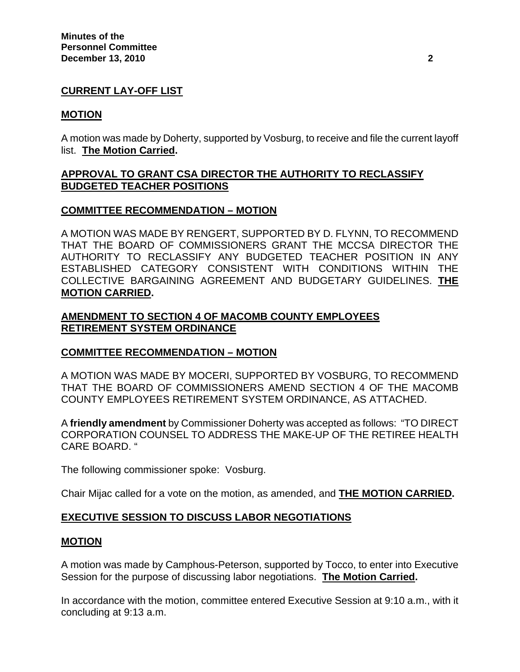## **CURRENT LAY-OFF LIST**

### **MOTION**

A motion was made by Doherty, supported by Vosburg, to receive and file the current layoff list. **The Motion Carried.** 

## **APPROVAL TO GRANT CSA DIRECTOR THE AUTHORITY TO RECLASSIFY BUDGETED TEACHER POSITIONS**

### **COMMITTEE RECOMMENDATION – MOTION**

A MOTION WAS MADE BY RENGERT, SUPPORTED BY D. FLYNN, TO RECOMMEND THAT THE BOARD OF COMMISSIONERS GRANT THE MCCSA DIRECTOR THE AUTHORITY TO RECLASSIFY ANY BUDGETED TEACHER POSITION IN ANY ESTABLISHED CATEGORY CONSISTENT WITH CONDITIONS WITHIN THE COLLECTIVE BARGAINING AGREEMENT AND BUDGETARY GUIDELINES. **THE MOTION CARRIED.** 

## **AMENDMENT TO SECTION 4 OF MACOMB COUNTY EMPLOYEES RETIREMENT SYSTEM ORDINANCE**

### **COMMITTEE RECOMMENDATION – MOTION**

A MOTION WAS MADE BY MOCERI, SUPPORTED BY VOSBURG, TO RECOMMEND THAT THE BOARD OF COMMISSIONERS AMEND SECTION 4 OF THE MACOMB COUNTY EMPLOYEES RETIREMENT SYSTEM ORDINANCE, AS ATTACHED.

A **friendly amendment** by Commissioner Doherty was accepted as follows: "TO DIRECT CORPORATION COUNSEL TO ADDRESS THE MAKE-UP OF THE RETIREE HEALTH CARE BOARD. "

The following commissioner spoke: Vosburg.

Chair Mijac called for a vote on the motion, as amended, and **THE MOTION CARRIED.** 

### **EXECUTIVE SESSION TO DISCUSS LABOR NEGOTIATIONS**

#### **MOTION**

A motion was made by Camphous-Peterson, supported by Tocco, to enter into Executive Session for the purpose of discussing labor negotiations. **The Motion Carried.** 

In accordance with the motion, committee entered Executive Session at 9:10 a.m., with it concluding at 9:13 a.m.